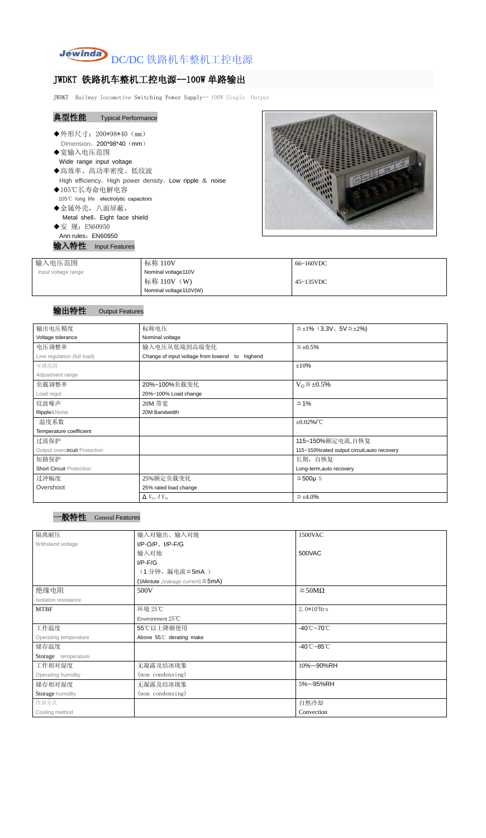

## JWDKT 铁路机车整机工控电源--100W 单路输出

JWDKT Railway locomotive Switching Power Supply-- 100W Single Output

| 典型性能<br><b>Typical Performance</b>                             |
|----------------------------------------------------------------|
| ◆外形尺寸: 200*98*40 (mm)<br>Dimension: 200*98*40 (mm)<br>◆宽输入电压范围 |
| Wide range input voltage                                       |
| ◆高效率、高功率密度、低纹波                                                 |
| High efficiency, High power density, Low ripple & noise        |
| ◆105℃长寿命电解电容                                                   |
| 105°C long life electrolytic capacitors                        |
| ◆金属外壳,八面屏蔽,                                                    |
| Metal shell, Eight face shield                                 |
| ◆安 规: EN60950                                                  |
| Ann rules: EN60950                                             |
| 输入特性 Input Features                                            |
| $L = \tau L$<br>ヽ 上 L キ H 国                                    |



| 输入电压范围              | 标称 110V                | 66~160VDC |
|---------------------|------------------------|-----------|
| Input voltage range | Nominal voltage110V    |           |
|                     | 标称 110V (W)            | 45~135VDC |
|                     | Nominal voltage110V(W) |           |

## 输出特性 Output Features

| 输出电压精度                          | 标称电压<br>$\leq \pm 1\%$ (3.3V, 5V $\leq \pm 2\%$ ) |                                             |  |
|---------------------------------|---------------------------------------------------|---------------------------------------------|--|
| Voltage tolerance               | Nominal voltage                                   |                                             |  |
| 电压调整率                           | 输入电压从低端到高端变化                                      | $\leq \pm 0.5\%$                            |  |
| Line regulation (full load)     | Change of input voltage from lowend to highend    |                                             |  |
| 可调范围                            |                                                   | ±10%                                        |  |
| Adjustment range                |                                                   |                                             |  |
| 负载调整率                           | 20%~100%负载变化                                      | $V_0 \leq \pm 0.5\%$                        |  |
| Load regul                      | 20%~100% Load change                              |                                             |  |
| 纹波噪声                            | 20M 带宽                                            | $\leq 1\%$                                  |  |
| Ripple&Noise                    | 20M Bandwidth                                     |                                             |  |
| 温度系数                            |                                                   | $\pm 0.02\%$ /°C                            |  |
| Temperature coefficient         |                                                   |                                             |  |
| 过流保护                            |                                                   | 115~150%额定电流,自恢复                            |  |
| Output overcircuit Protection   |                                                   | 115~150%rated output circuit, auto recovery |  |
| 短路保护                            |                                                   | 长期, 自恢复                                     |  |
| <b>Short Circuit Protection</b> |                                                   | Long-term, auto recovery                    |  |
| 过冲幅度                            | 25%额定负载变化                                         | $≤500µ$ S                                   |  |
| Overshoot                       | 25% rated load change                             |                                             |  |
|                                 | $\Delta$ V <sub>01</sub> /V <sub>01</sub>         | $\leq \pm 4.0\%$                            |  |

| 隔离耐压                  | 输入对输出、输入对地                              | 1500VAC                         |  |
|-----------------------|-----------------------------------------|---------------------------------|--|
| Withstand voltage     | $I/P$ -O/P, $I/P$ -F/G                  |                                 |  |
|                       | 输入对地                                    | 500VAC                          |  |
|                       | $I/P$ - $F/G$                           |                                 |  |
|                       | (1分钟,漏电流≦5mA)                           |                                 |  |
|                       | (1Mintute, leakage current) $\leq$ 5mA) |                                 |  |
| 绝缘电阻                  | 500V                                    | $\geq$ 50M $\Omega$             |  |
| Isolation resistance  |                                         |                                 |  |
| <b>MTBF</b>           | 环境 25℃                                  | 2.0 $*10^5$ Hrs                 |  |
|                       | Environment 25°C                        |                                 |  |
| 工作温度                  | 55℃以上降额使用                               | $-40^{\circ}$ C $-70^{\circ}$ C |  |
| Operating temperature | Above 55°C derating make                |                                 |  |
| 储存温度                  |                                         | $-40^{\circ}$ C $-85^{\circ}$ C |  |
| Storage temperature   |                                         |                                 |  |
| 工作相对湿度                | 无凝露及结冰现象                                | 10%~-90%RH                      |  |
| Operating humidity    | (non condensing)                        |                                 |  |
| 储存相对湿度                | 无凝露及结冰现象                                | 5%~-95%RH                       |  |
| Storage humidity      | (non condensing)                        |                                 |  |
| 冷却方式                  |                                         | 自然冷却                            |  |
| Cooling method        |                                         | Convection                      |  |